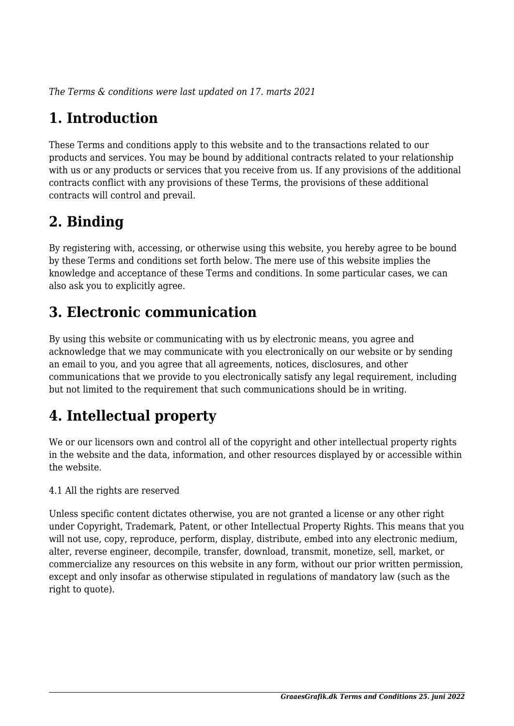*The Terms & conditions were last updated on 17. marts 2021*

# **1. Introduction**

These Terms and conditions apply to this website and to the transactions related to our products and services. You may be bound by additional contracts related to your relationship with us or any products or services that you receive from us. If any provisions of the additional contracts conflict with any provisions of these Terms, the provisions of these additional contracts will control and prevail.

# **2. Binding**

By registering with, accessing, or otherwise using this website, you hereby agree to be bound by these Terms and conditions set forth below. The mere use of this website implies the knowledge and acceptance of these Terms and conditions. In some particular cases, we can also ask you to explicitly agree.

# **3. Electronic communication**

By using this website or communicating with us by electronic means, you agree and acknowledge that we may communicate with you electronically on our website or by sending an email to you, and you agree that all agreements, notices, disclosures, and other communications that we provide to you electronically satisfy any legal requirement, including but not limited to the requirement that such communications should be in writing.

# **4. Intellectual property**

We or our licensors own and control all of the copyright and other intellectual property rights in the website and the data, information, and other resources displayed by or accessible within the website.

4.1 All the rights are reserved

Unless specific content dictates otherwise, you are not granted a license or any other right under Copyright, Trademark, Patent, or other Intellectual Property Rights. This means that you will not use, copy, reproduce, perform, display, distribute, embed into any electronic medium, alter, reverse engineer, decompile, transfer, download, transmit, monetize, sell, market, or commercialize any resources on this website in any form, without our prior written permission, except and only insofar as otherwise stipulated in regulations of mandatory law (such as the right to quote).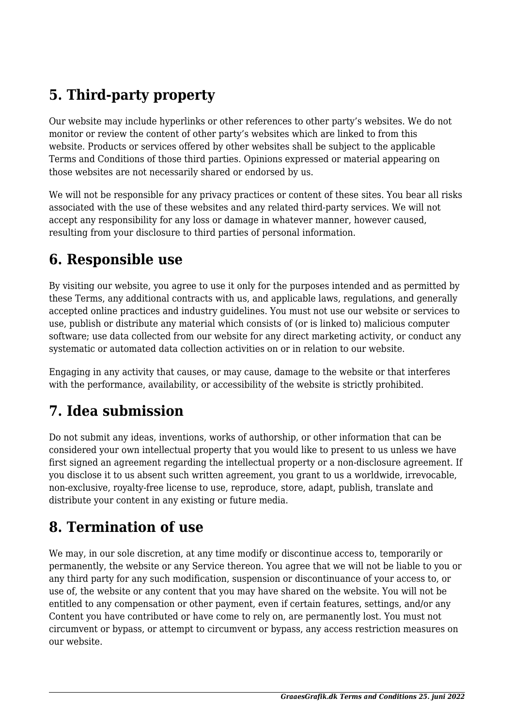# **5. Third-party property**

Our website may include hyperlinks or other references to other party's websites. We do not monitor or review the content of other party's websites which are linked to from this website. Products or services offered by other websites shall be subject to the applicable Terms and Conditions of those third parties. Opinions expressed or material appearing on those websites are not necessarily shared or endorsed by us.

We will not be responsible for any privacy practices or content of these sites. You bear all risks associated with the use of these websites and any related third-party services. We will not accept any responsibility for any loss or damage in whatever manner, however caused, resulting from your disclosure to third parties of personal information.

#### **6. Responsible use**

By visiting our website, you agree to use it only for the purposes intended and as permitted by these Terms, any additional contracts with us, and applicable laws, regulations, and generally accepted online practices and industry guidelines. You must not use our website or services to use, publish or distribute any material which consists of (or is linked to) malicious computer software; use data collected from our website for any direct marketing activity, or conduct any systematic or automated data collection activities on or in relation to our website.

Engaging in any activity that causes, or may cause, damage to the website or that interferes with the performance, availability, or accessibility of the website is strictly prohibited.

# **7. Idea submission**

Do not submit any ideas, inventions, works of authorship, or other information that can be considered your own intellectual property that you would like to present to us unless we have first signed an agreement regarding the intellectual property or a non-disclosure agreement. If you disclose it to us absent such written agreement, you grant to us a worldwide, irrevocable, non-exclusive, royalty-free license to use, reproduce, store, adapt, publish, translate and distribute your content in any existing or future media.

## **8. Termination of use**

We may, in our sole discretion, at any time modify or discontinue access to, temporarily or permanently, the website or any Service thereon. You agree that we will not be liable to you or any third party for any such modification, suspension or discontinuance of your access to, or use of, the website or any content that you may have shared on the website. You will not be entitled to any compensation or other payment, even if certain features, settings, and/or any Content you have contributed or have come to rely on, are permanently lost. You must not circumvent or bypass, or attempt to circumvent or bypass, any access restriction measures on our website.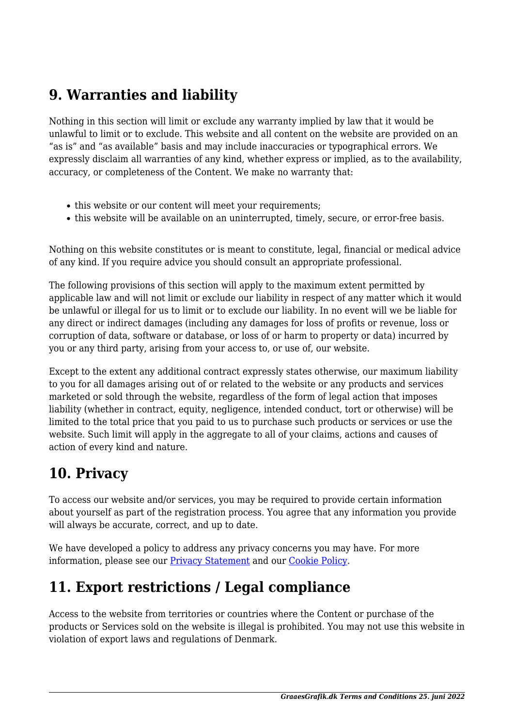## **9. Warranties and liability**

Nothing in this section will limit or exclude any warranty implied by law that it would be unlawful to limit or to exclude. This website and all content on the website are provided on an "as is" and "as available" basis and may include inaccuracies or typographical errors. We expressly disclaim all warranties of any kind, whether express or implied, as to the availability, accuracy, or completeness of the Content. We make no warranty that:

- this website or our content will meet your requirements;
- this website will be available on an uninterrupted, timely, secure, or error-free basis.

Nothing on this website constitutes or is meant to constitute, legal, financial or medical advice of any kind. If you require advice you should consult an appropriate professional.

The following provisions of this section will apply to the maximum extent permitted by applicable law and will not limit or exclude our liability in respect of any matter which it would be unlawful or illegal for us to limit or to exclude our liability. In no event will we be liable for any direct or indirect damages (including any damages for loss of profits or revenue, loss or corruption of data, software or database, or loss of or harm to property or data) incurred by you or any third party, arising from your access to, or use of, our website.

Except to the extent any additional contract expressly states otherwise, our maximum liability to you for all damages arising out of or related to the website or any products and services marketed or sold through the website, regardless of the form of legal action that imposes liability (whether in contract, equity, negligence, intended conduct, tort or otherwise) will be limited to the total price that you paid to us to purchase such products or services or use the website. Such limit will apply in the aggregate to all of your claims, actions and causes of action of every kind and nature.

## **10. Privacy**

To access our website and/or services, you may be required to provide certain information about yourself as part of the registration process. You agree that any information you provide will always be accurate, correct, and up to date.

We have developed a policy to address any privacy concerns you may have. For more information, please see our **Privacy Statement** and our [Cookie Policy](https://www.graaesgrafik.dk/cookiepolitik-eu/).

# **11. Export restrictions / Legal compliance**

Access to the website from territories or countries where the Content or purchase of the products or Services sold on the website is illegal is prohibited. You may not use this website in violation of export laws and regulations of Denmark.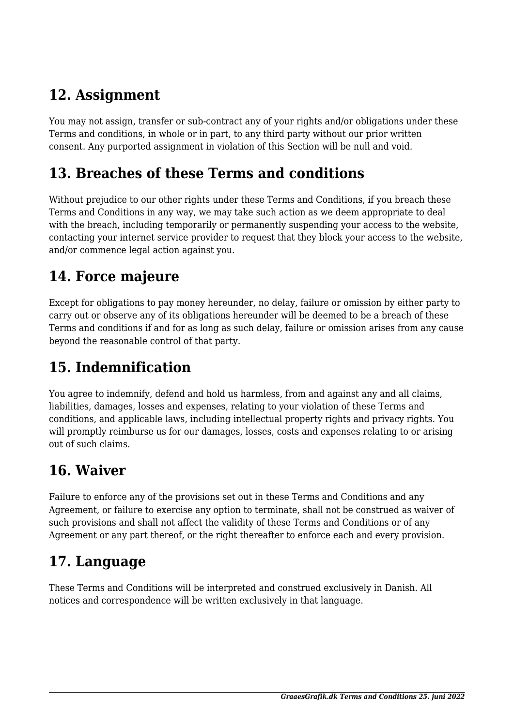## **12. Assignment**

You may not assign, transfer or sub-contract any of your rights and/or obligations under these Terms and conditions, in whole or in part, to any third party without our prior written consent. Any purported assignment in violation of this Section will be null and void.

#### **13. Breaches of these Terms and conditions**

Without prejudice to our other rights under these Terms and Conditions, if you breach these Terms and Conditions in any way, we may take such action as we deem appropriate to deal with the breach, including temporarily or permanently suspending your access to the website, contacting your internet service provider to request that they block your access to the website, and/or commence legal action against you.

## **14. Force majeure**

Except for obligations to pay money hereunder, no delay, failure or omission by either party to carry out or observe any of its obligations hereunder will be deemed to be a breach of these Terms and conditions if and for as long as such delay, failure or omission arises from any cause beyond the reasonable control of that party.

# **15. Indemnification**

You agree to indemnify, defend and hold us harmless, from and against any and all claims, liabilities, damages, losses and expenses, relating to your violation of these Terms and conditions, and applicable laws, including intellectual property rights and privacy rights. You will promptly reimburse us for our damages, losses, costs and expenses relating to or arising out of such claims.

## **16. Waiver**

Failure to enforce any of the provisions set out in these Terms and Conditions and any Agreement, or failure to exercise any option to terminate, shall not be construed as waiver of such provisions and shall not affect the validity of these Terms and Conditions or of any Agreement or any part thereof, or the right thereafter to enforce each and every provision.

## **17. Language**

These Terms and Conditions will be interpreted and construed exclusively in Danish. All notices and correspondence will be written exclusively in that language.